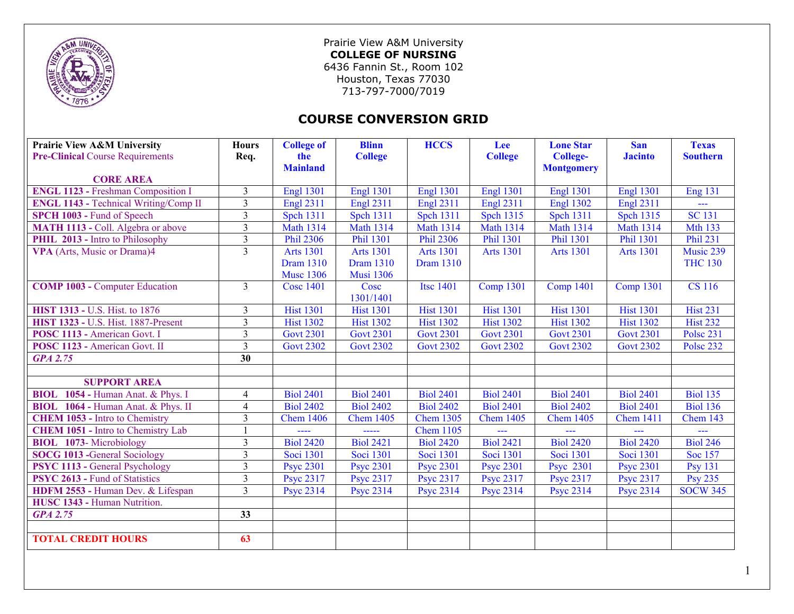

Prairie View A&M University **COLLEGE OF NURSING**  6436 Fannin St., Room 102 Houston, Texas 77030 713-797-7000/7019

## **COURSE CONVERSION GRID**

| Prairie View A&M University                  | <b>Hours</b>            | <b>College of</b> | <b>Blinn</b>           | <b>HCCS</b>      | Lee              | <b>Lone Star</b>  | <b>San</b>       | <b>Texas</b>     |
|----------------------------------------------|-------------------------|-------------------|------------------------|------------------|------------------|-------------------|------------------|------------------|
| <b>Pre-Clinical Course Requirements</b>      | Req.                    | the               | <b>College</b>         |                  | <b>College</b>   | <b>College-</b>   | <b>Jacinto</b>   | <b>Southern</b>  |
|                                              |                         | <b>Mainland</b>   |                        |                  |                  | <b>Montgomery</b> |                  |                  |
| <b>CORE AREA</b>                             |                         |                   |                        |                  |                  |                   |                  |                  |
| <b>ENGL 1123 - Freshman Composition I</b>    | $\overline{3}$          | <b>Engl 1301</b>  | <b>Engl 1301</b>       | <b>Engl 1301</b> | <b>Engl 1301</b> | <b>Engl 1301</b>  | <b>Engl 1301</b> | <b>Eng 131</b>   |
| <b>ENGL 1143 - Technical Writing/Comp II</b> | $\overline{3}$          | <b>Engl 2311</b>  | <b>Engl 2311</b>       | <b>Engl 2311</b> | <b>Engl 2311</b> | <b>Engl 1302</b>  | <b>Engl 2311</b> | ---              |
| SPCH 1003 - Fund of Speech                   | $\overline{3}$          | <b>Spch 1311</b>  | <b>Spch 1311</b>       | <b>Spch 1311</b> | <b>Spch 1315</b> | <b>Spch 1311</b>  | <b>Spch 1315</b> | <b>SC 131</b>    |
| MATH 1113 - Coll. Algebra or above           | $\mathfrak{Z}$          | <b>Math 1314</b>  | <b>Math 1314</b>       | <b>Math 1314</b> | <b>Math 1314</b> | <b>Math 1314</b>  | <b>Math 1314</b> | <b>Mth 133</b>   |
| PHIL 2013 - Intro to Philosophy              | $\overline{3}$          | <b>Phil 2306</b>  | <b>Phil 1301</b>       | <b>Phil 2306</b> | Phil 1301        | <b>Phil 1301</b>  | <b>Phil 1301</b> | <b>Phil 231</b>  |
| VPA (Arts, Music or Drama)4                  | $\overline{3}$          | <b>Arts 1301</b>  | Arts $13\overline{01}$ | <b>Arts 1301</b> | <b>Arts 1301</b> | <b>Arts 1301</b>  | <b>Arts 1301</b> | Music 239        |
|                                              |                         | <b>Dram 1310</b>  | <b>Dram 1310</b>       | <b>Dram 1310</b> |                  |                   |                  | <b>THC 130</b>   |
|                                              |                         | <b>Musc 1306</b>  | <b>Musi 1306</b>       |                  |                  |                   |                  |                  |
| <b>COMP 1003 - Computer Education</b>        | $\overline{3}$          | <b>Cosc 1401</b>  | Cosc                   | <b>Itsc 1401</b> | <b>Comp 1301</b> | <b>Comp 1401</b>  | Comp $1301$      | <b>CS</b> 116    |
|                                              |                         |                   | 1301/1401              |                  |                  |                   |                  |                  |
| <b>HIST 1313 - U.S. Hist. to 1876</b>        | $\overline{3}$          | <b>Hist 1301</b>  | <b>Hist 1301</b>       | <b>Hist 1301</b> | <b>Hist 1301</b> | <b>Hist 1301</b>  | <b>Hist 1301</b> | <b>Hist 231</b>  |
| <b>HIST 1323 - U.S. Hist. 1887-Present</b>   | $\overline{3}$          | <b>Hist 1302</b>  | <b>Hist 1302</b>       | <b>Hist 1302</b> | <b>Hist 1302</b> | <b>Hist 1302</b>  | <b>Hist 1302</b> | <b>Hist 232</b>  |
| POSC 1113 - American Govt. I                 | $\overline{3}$          | <b>Govt 2301</b>  | <b>Govt 2301</b>       | <b>Govt 2301</b> | <b>Govt 2301</b> | <b>Govt 2301</b>  | <b>Govt 2301</b> | <b>Polse 231</b> |
| POSC 1123 - American Govt. II                | $\overline{3}$          | <b>Govt 2302</b>  | <b>Govt 2302</b>       | <b>Govt 2302</b> | <b>Govt 2302</b> | <b>Govt 2302</b>  | <b>Govt 2302</b> | <b>Polse 232</b> |
| <b>GPA 2.75</b>                              | 30                      |                   |                        |                  |                  |                   |                  |                  |
|                                              |                         |                   |                        |                  |                  |                   |                  |                  |
| <b>SUPPORT AREA</b>                          |                         |                   |                        |                  |                  |                   |                  |                  |
| BIOL 1054 - Human Anat. & Phys. I            | 4                       | <b>Biol 2401</b>  | <b>Biol 2401</b>       | <b>Biol 2401</b> | <b>Biol 2401</b> | <b>Biol 2401</b>  | <b>Biol 2401</b> | <b>Biol 135</b>  |
| BIOL 1064 - Human Anat. & Phys. II           | $\overline{4}$          | <b>Biol 2402</b>  | <b>Biol 2402</b>       | <b>Biol 2402</b> | <b>Biol 2401</b> | <b>Biol 2402</b>  | <b>Biol 2401</b> | <b>Biol 136</b>  |
| <b>CHEM 1053 - Intro to Chemistry</b>        | $\overline{3}$          | <b>Chem 1406</b>  | <b>Chem 1405</b>       | <b>Chem 1305</b> | <b>Chem 1405</b> | <b>Chem 1405</b>  | <b>Chem 1411</b> | Chem 143         |
| <b>CHEM 1051 - Intro to Chemistry Lab</b>    |                         | ----              | -----                  | <b>Chem 1105</b> |                  |                   |                  | ---              |
| <b>BIOL</b> 1073-Microbiology                | $\overline{3}$          | <b>Biol 2420</b>  | <b>Biol 2421</b>       | <b>Biol 2420</b> | <b>Biol 2421</b> | <b>Biol 2420</b>  | <b>Biol 2420</b> | <b>Biol 246</b>  |
| <b>SOCG 1013 - General Sociology</b>         | $\overline{3}$          | Soci 1301         | Soci 1301              | Soci 1301        | Soci 1301        | Soci 1301         | Soci 1301        | Soc 157          |
| <b>PSYC 1113 - General Psychology</b>        | $\overline{\mathbf{3}}$ | <b>Psyc 2301</b>  | <b>Psyc 2301</b>       | <b>Psyc 2301</b> | <b>Psyc 2301</b> | <b>Psyc</b> 2301  | <b>Psyc 2301</b> | <b>Psy 131</b>   |
| <b>PSYC 2613 - Fund of Statistics</b>        | $\overline{3}$          | <b>Psyc 2317</b>  | <b>Psyc 2317</b>       | Psyc 2317        | <b>Psyc 2317</b> | <b>Psyc 2317</b>  | <b>Psyc 2317</b> | <b>Psy 235</b>   |
| HDFM 2553 - Human Dev. & Lifespan            | $\overline{3}$          | <b>Psyc 2314</b>  | <b>Psyc 2314</b>       | <b>Psyc 2314</b> | <b>Psyc 2314</b> | <b>Psyc 2314</b>  | <b>Psyc 2314</b> | <b>SOCW 345</b>  |
| HUSC 1343 - Human Nutrition.                 |                         |                   |                        |                  |                  |                   |                  |                  |
| <b>GPA 2.75</b>                              | 33                      |                   |                        |                  |                  |                   |                  |                  |
|                                              |                         |                   |                        |                  |                  |                   |                  |                  |
| <b>TOTAL CREDIT HOURS</b>                    | 63                      |                   |                        |                  |                  |                   |                  |                  |